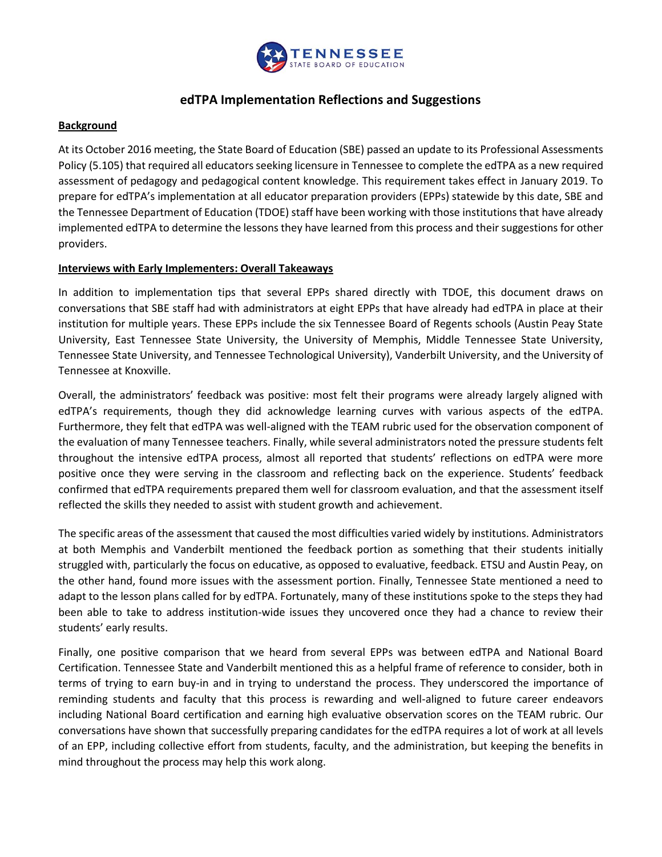

# **edTPA Implementation Reflections and Suggestions**

### **Background**

At its October 2016 meeting, the State Board of Education (SBE) passed an update to its Professional Assessments Policy (5.105) that required all educators seeking licensure in Tennessee to complete the edTPA as a new required assessment of pedagogy and pedagogical content knowledge. This requirement takes effect in January 2019. To prepare for edTPA's implementation at all educator preparation providers (EPPs) statewide by this date, SBE and the Tennessee Department of Education (TDOE) staff have been working with those institutions that have already implemented edTPA to determine the lessons they have learned from this process and their suggestions for other providers.

## **Interviews with Early Implementers: Overall Takeaways**

In addition to implementation tips that several EPPs shared directly with TDOE, this document draws on conversations that SBE staff had with administrators at eight EPPs that have already had edTPA in place at their institution for multiple years. These EPPs include the six Tennessee Board of Regents schools (Austin Peay State University, East Tennessee State University, the University of Memphis, Middle Tennessee State University, Tennessee State University, and Tennessee Technological University), Vanderbilt University, and the University of Tennessee at Knoxville.

Overall, the administrators' feedback was positive: most felt their programs were already largely aligned with edTPA's requirements, though they did acknowledge learning curves with various aspects of the edTPA. Furthermore, they felt that edTPA was well-aligned with the TEAM rubric used for the observation component of the evaluation of many Tennessee teachers. Finally, while several administrators noted the pressure students felt throughout the intensive edTPA process, almost all reported that students' reflections on edTPA were more positive once they were serving in the classroom and reflecting back on the experience. Students' feedback confirmed that edTPA requirements prepared them well for classroom evaluation, and that the assessment itself reflected the skills they needed to assist with student growth and achievement.

The specific areas of the assessment that caused the most difficulties varied widely by institutions. Administrators at both Memphis and Vanderbilt mentioned the feedback portion as something that their students initially struggled with, particularly the focus on educative, as opposed to evaluative, feedback. ETSU and Austin Peay, on the other hand, found more issues with the assessment portion. Finally, Tennessee State mentioned a need to adapt to the lesson plans called for by edTPA. Fortunately, many of these institutions spoke to the steps they had been able to take to address institution-wide issues they uncovered once they had a chance to review their students' early results.

Finally, one positive comparison that we heard from several EPPs was between edTPA and National Board Certification. Tennessee State and Vanderbilt mentioned this as a helpful frame of reference to consider, both in terms of trying to earn buy-in and in trying to understand the process. They underscored the importance of reminding students and faculty that this process is rewarding and well-aligned to future career endeavors including National Board certification and earning high evaluative observation scores on the TEAM rubric. Our conversations have shown that successfully preparing candidates for the edTPA requires a lot of work at all levels of an EPP, including collective effort from students, faculty, and the administration, but keeping the benefits in mind throughout the process may help this work along.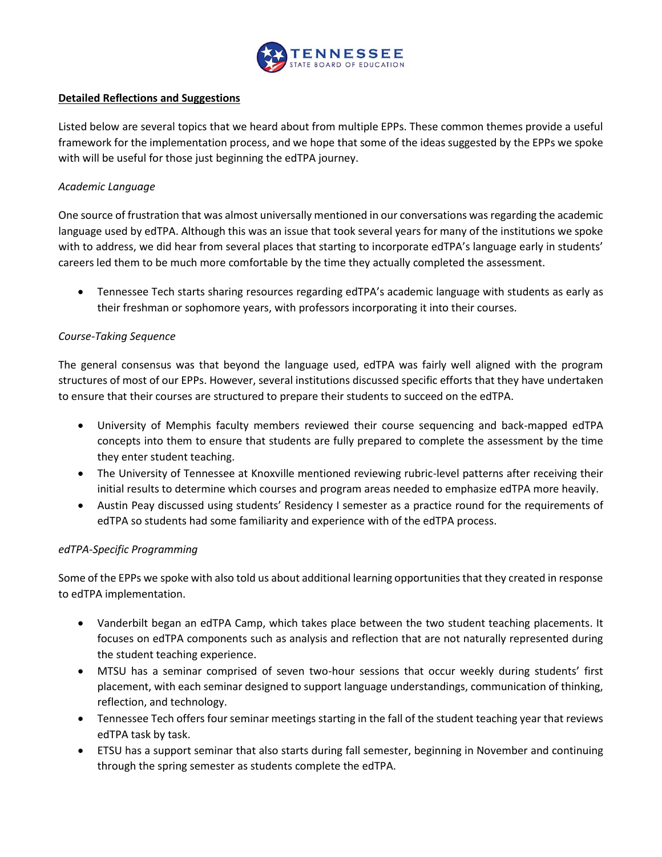

#### **Detailed Reflections and Suggestions**

Listed below are several topics that we heard about from multiple EPPs. These common themes provide a useful framework for the implementation process, and we hope that some of the ideas suggested by the EPPs we spoke with will be useful for those just beginning the edTPA journey.

#### *Academic Language*

One source of frustration that was almost universally mentioned in our conversations was regarding the academic language used by edTPA. Although this was an issue that took several years for many of the institutions we spoke with to address, we did hear from several places that starting to incorporate edTPA's language early in students' careers led them to be much more comfortable by the time they actually completed the assessment.

 Tennessee Tech starts sharing resources regarding edTPA's academic language with students as early as their freshman or sophomore years, with professors incorporating it into their courses.

## *Course-Taking Sequence*

The general consensus was that beyond the language used, edTPA was fairly well aligned with the program structures of most of our EPPs. However, several institutions discussed specific efforts that they have undertaken to ensure that their courses are structured to prepare their students to succeed on the edTPA.

- University of Memphis faculty members reviewed their course sequencing and back-mapped edTPA concepts into them to ensure that students are fully prepared to complete the assessment by the time they enter student teaching.
- The University of Tennessee at Knoxville mentioned reviewing rubric-level patterns after receiving their initial results to determine which courses and program areas needed to emphasize edTPA more heavily.
- Austin Peay discussed using students' Residency I semester as a practice round for the requirements of edTPA so students had some familiarity and experience with of the edTPA process.

#### *edTPA-Specific Programming*

Some of the EPPs we spoke with also told us about additional learning opportunities that they created in response to edTPA implementation.

- Vanderbilt began an edTPA Camp, which takes place between the two student teaching placements. It focuses on edTPA components such as analysis and reflection that are not naturally represented during the student teaching experience.
- MTSU has a seminar comprised of seven two-hour sessions that occur weekly during students' first placement, with each seminar designed to support language understandings, communication of thinking, reflection, and technology.
- Tennessee Tech offers four seminar meetings starting in the fall of the student teaching year that reviews edTPA task by task.
- ETSU has a support seminar that also starts during fall semester, beginning in November and continuing through the spring semester as students complete the edTPA.